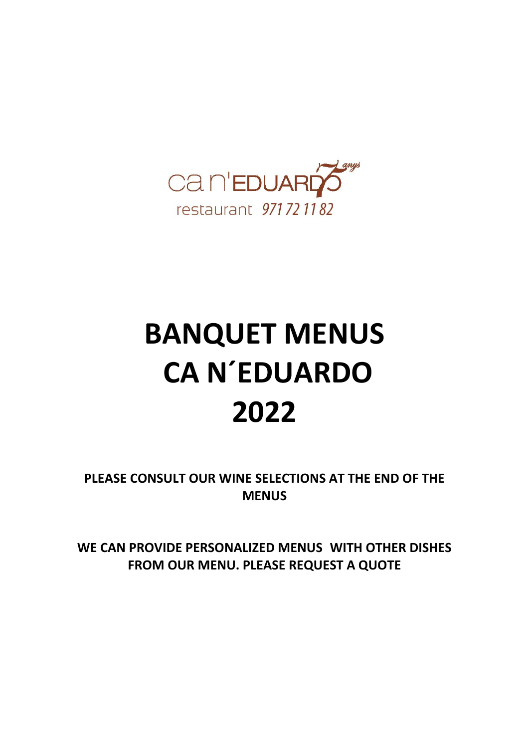

# **BANQUET MENUS CA N´EDUARDO 2022**

**PLEASE CONSULT OUR WINE SELECTIONS AT THE END OF THE MENUS**

**WE CAN PROVIDE PERSONALIZED MENUS WITH OTHER DISHES FROM OUR MENU. PLEASE REQUEST A QUOTE**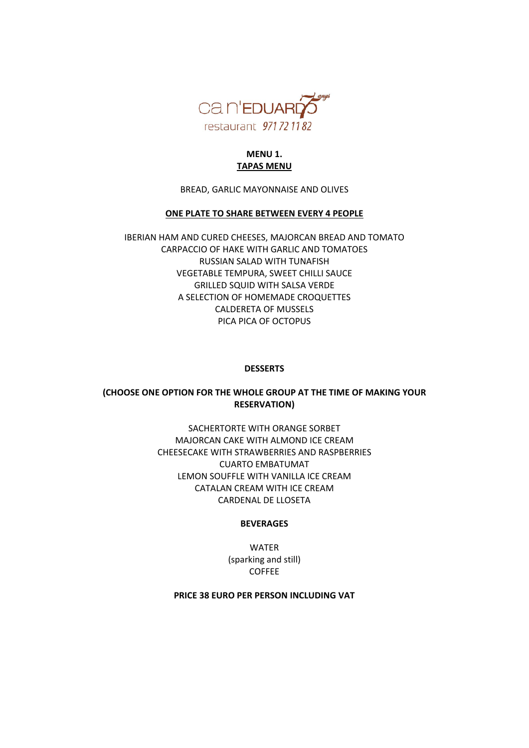

## **MENU 1. TAPAS MENU**

### BREAD, GARLIC MAYONNAISE AND OLIVES

#### **ONE PLATE TO SHARE BETWEEN EVERY 4 PEOPLE**

IBERIAN HAM AND CURED CHEESES, MAJORCAN BREAD AND TOMATO CARPACCIO OF HAKE WITH GARLIC AND TOMATOES RUSSIAN SALAD WITH TUNAFISH VEGETABLE TEMPURA, SWEET CHILLI SAUCE GRILLED SQUID WITH SALSA VERDE A SELECTION OF HOMEMADE CROQUETTES CALDERETA OF MUSSELS PICA PICA OF OCTOPUS

#### **DESSERTS**

## **(CHOOSE ONE OPTION FOR THE WHOLE GROUP AT THE TIME OF MAKING YOUR RESERVATION)**

SACHERTORTE WITH ORANGE SORBET MAJORCAN CAKE WITH ALMOND ICE CREAM CHEESECAKE WITH STRAWBERRIES AND RASPBERRIES CUARTO EMBATUMAT LEMON SOUFFLE WITH VANILLA ICE CREAM CATALAN CREAM WITH ICE CREAM CARDENAL DE LLOSETA

#### **BEVERAGES**

WATER (sparking and still) COFFEE

#### **PRICE 38 EURO PER PERSON INCLUDING VAT**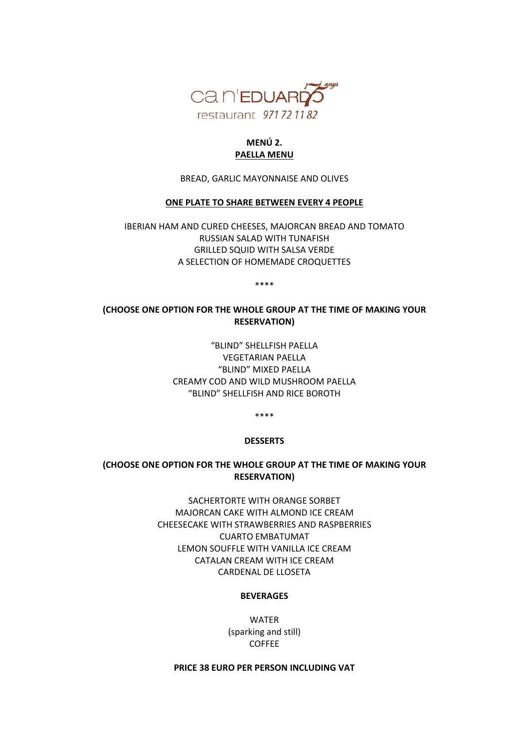

## **MENÚ 2. PAELLA MENU**

BREAD, GARLIC MAYONNAISE AND OLIVES

#### **ONE PLATE TO SHARE BETWEEN EVERY 4 PEOPLE**

IBERIAN HAM AND CURED CHEESES, MAJORCAN BREAD AND TOMATO RUSSIAN SALAD WITH TUNAFISH GRILLED SQUID WITH SALSA VERDE A SELECTION OF HOMEMADE CROQUETTES

\*\*\*\*

## **(CHOOSE ONE OPTION FOR THE WHOLE GROUP AT THE TIME OF MAKING YOUR RESERVATION)**

"BLIND" SHELLFISH PAELLA VEGETARIAN PAELLA "BLIND" MIXED PAELLA CREAMY COD AND WILD MUSHROOM PAELLA "BLIND" SHELLFISH AND RICE BOROTH

\*\*\*\*

#### **DESSERTS**

## **(CHOOSE ONE OPTION FOR THE WHOLE GROUP AT THE TIME OF MAKING YOUR RESERVATION)**

SACHERTORTE WITH ORANGE SORBET MAJORCAN CAKE WITH ALMOND ICE CREAM CHEESECAKE WITH STRAWBERRIES AND RASPBERRIES CUARTO EMBATUMAT LEMON SOUFFLE WITH VANILLA ICE CREAM CATALAN CREAM WITH ICE CREAM CARDENAL DE LLOSETA

#### **BEVERAGES**

WATER (sparking and still) COFFEE

### **PRICE 38 EURO PER PERSON INCLUDING VAT**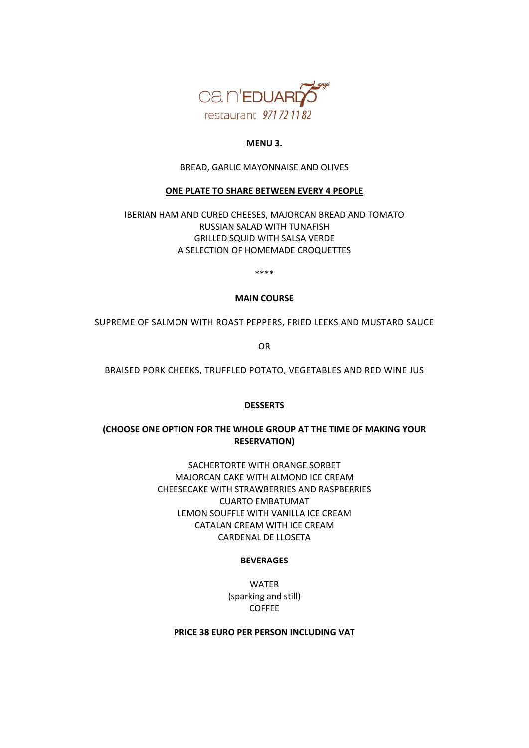

## **MENU 3.**

BREAD, GARLIC MAYONNAISE AND OLIVES

## **ONE PLATE TO SHARE BETWEEN EVERY 4 PEOPLE**

IBERIAN HAM AND CURED CHEESES, MAJORCAN BREAD AND TOMATO RUSSIAN SALAD WITH TUNAFISH GRILLED SQUID WITH SALSA VERDE A SELECTION OF HOMEMADE CROQUETTES

\*\*\*\*

## **MAIN COURSE**

SUPREME OF SALMON WITH ROAST PEPPERS, FRIED LEEKS AND MUSTARD SAUCE

OR

BRAISED PORK CHEEKS, TRUFFLED POTATO, VEGETABLES AND RED WINE JUS

## **DESSERTS**

## **(CHOOSE ONE OPTION FOR THE WHOLE GROUP AT THE TIME OF MAKING YOUR RESERVATION)**

SACHERTORTE WITH ORANGE SORBET MAJORCAN CAKE WITH ALMOND ICE CREAM CHEESECAKE WITH STRAWBERRIES AND RASPBERRIES CUARTO EMBATUMAT LEMON SOUFFLE WITH VANILLA ICE CREAM CATALAN CREAM WITH ICE CREAM CARDENAL DE LLOSETA

#### **BEVERAGES**

WATER (sparking and still) COFFEE

**PRICE 38 EURO PER PERSON INCLUDING VAT**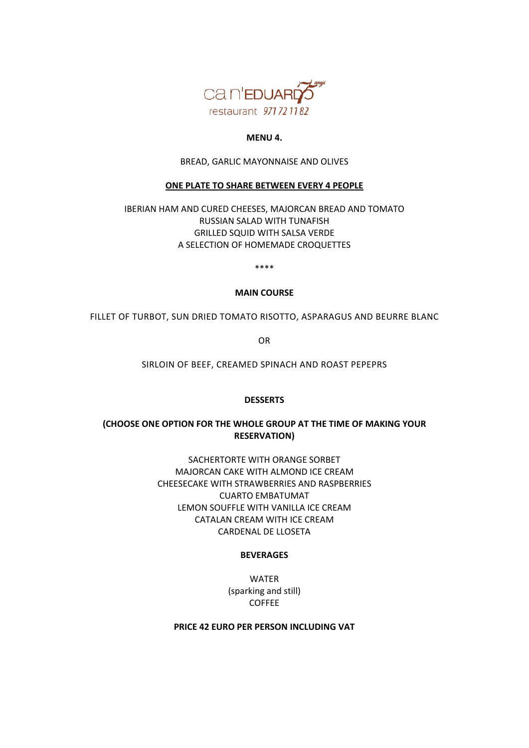

## **MENU 4.**

#### BREAD, GARLIC MAYONNAISE AND OLIVES

#### **ONE PLATE TO SHARE BETWEEN EVERY 4 PEOPLE**

IBERIAN HAM AND CURED CHEESES, MAJORCAN BREAD AND TOMATO RUSSIAN SALAD WITH TUNAFISH GRILLED SQUID WITH SALSA VERDE A SELECTION OF HOMEMADE CROQUETTES

\*\*\*\*

#### **MAIN COURSE**

FILLET OF TURBOT, SUN DRIED TOMATO RISOTTO, ASPARAGUS AND BEURRE BLANC

OR

SIRLOIN OF BEEF, CREAMED SPINACH AND ROAST PEPEPRS

#### **DESSERTS**

## **(CHOOSE ONE OPTION FOR THE WHOLE GROUP AT THE TIME OF MAKING YOUR RESERVATION)**

SACHERTORTE WITH ORANGE SORBET MAJORCAN CAKE WITH ALMOND ICE CREAM CHEESECAKE WITH STRAWBERRIES AND RASPBERRIES CUARTO EMBATUMAT LEMON SOUFFLE WITH VANILLA ICE CREAM CATALAN CREAM WITH ICE CREAM CARDENAL DE LLOSETA

#### **BEVERAGES**

WATER (sparking and still) COFFEE

**PRICE 42 EURO PER PERSON INCLUDING VAT**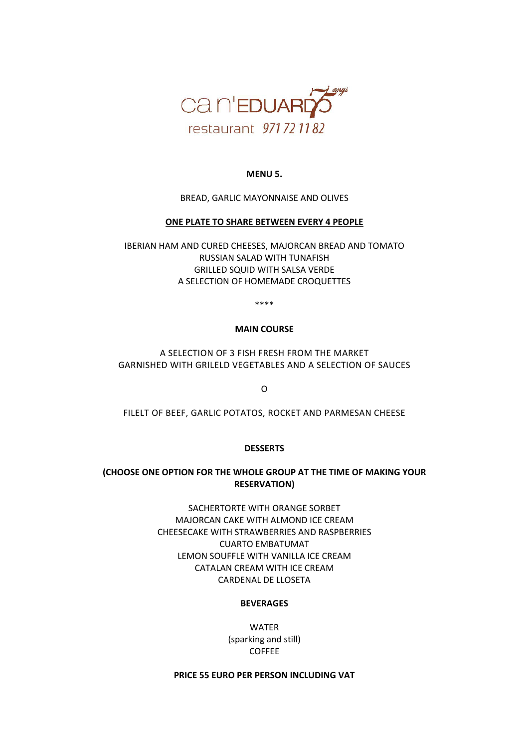

#### **MENU 5.**

BREAD, GARLIC MAYONNAISE AND OLIVES

#### **ONE PLATE TO SHARE BETWEEN EVERY 4 PEOPLE**

IBERIAN HAM AND CURED CHEESES, MAJORCAN BREAD AND TOMATO RUSSIAN SALAD WITH TUNAFISH GRILLED SQUID WITH SALSA VERDE A SELECTION OF HOMEMADE CROQUETTES

\*\*\*\*

#### **MAIN COURSE**

A SELECTION OF 3 FISH FRESH FROM THE MARKET GARNISHED WITH GRILELD VEGETABLES AND A SELECTION OF SAUCES

O

FILELT OF BEEF, GARLIC POTATOS, ROCKET AND PARMESAN CHEESE

#### **DESSERTS**

## **(CHOOSE ONE OPTION FOR THE WHOLE GROUP AT THE TIME OF MAKING YOUR RESERVATION)**

SACHERTORTE WITH ORANGE SORBET MAJORCAN CAKE WITH ALMOND ICE CREAM CHEESECAKE WITH STRAWBERRIES AND RASPBERRIES CUARTO EMBATUMAT LEMON SOUFFLE WITH VANILLA ICE CREAM CATALAN CREAM WITH ICE CREAM CARDENAL DE LLOSETA

#### **BEVERAGES**

WATER (sparking and still) COFFEE

**PRICE 55 EURO PER PERSON INCLUDING VAT**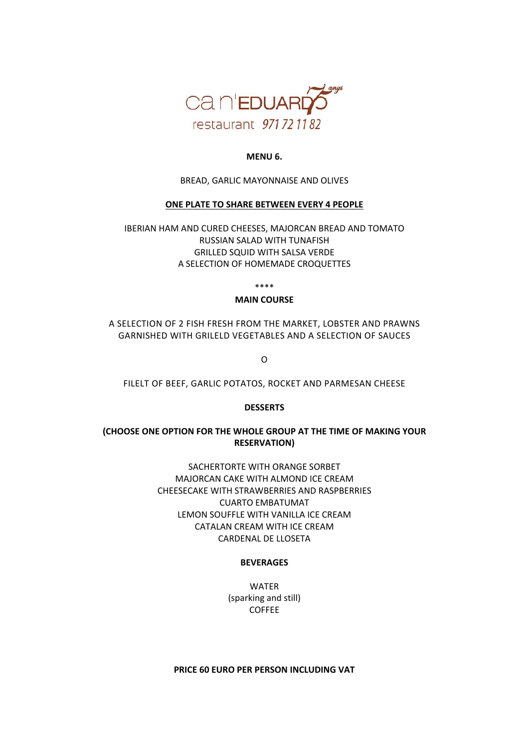

#### **MENU 6.**

BREAD, GARLIC MAYONNAISE AND OLIVES

#### **ONE PLATE TO SHARE BETWEEN EVERY 4 PEOPLE**

IBERIAN HAM AND CURED CHEESES, MAJORCAN BREAD AND TOMATO RUSSIAN SALAD WITH TUNAFISH GRILLED SQUID WITH SALSA VERDE A SELECTION OF HOMEMADE CROQUETTES

\*\*\*\*

#### **MAIN COURSE**

A SELECTION OF 2 FISH FRESH FROM THE MARKET, LOBSTER AND PRAWNS GARNISHED WITH GRILELD VEGETABLES AND A SELECTION OF SAUCES

 $\Omega$ 

FILELT OF BEEF, GARLIC POTATOS, ROCKET AND PARMESAN CHEESE

## **DESSERTS**

## **(CHOOSE ONE OPTION FOR THE WHOLE GROUP AT THE TIME OF MAKING YOUR RESERVATION)**

SACHERTORTE WITH ORANGE SORBET MAJORCAN CAKE WITH ALMOND ICE CREAM CHEESECAKE WITH STRAWBERRIES AND RASPBERRIES CUARTO EMBATUMAT LEMON SOUFFLE WITH VANILLA ICE CREAM CATALAN CREAM WITH ICE CREAM CARDENAL DE LLOSETA

## **BEVERAGES**

WATER (sparking and still) COFFEE

## **PRICE 60 EURO PER PERSON INCLUDING VAT**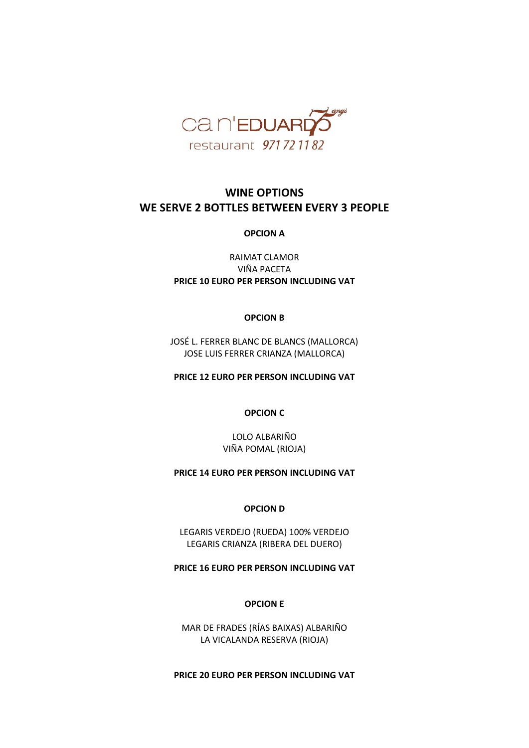

## **WINE OPTIONS WE SERVE 2 BOTTLES BETWEEN EVERY 3 PEOPLE**

## **OPCION A**

## RAIMAT CLAMOR VIÑA PACETA **PRICE 10 EURO PER PERSON INCLUDING VAT**

## **OPCION B**

JOSÉ L. FERRER BLANC DE BLANCS (MALLORCA) JOSE LUIS FERRER CRIANZA (MALLORCA)

**PRICE 12 EURO PER PERSON INCLUDING VAT**

**OPCION C**

LOLO ALBARIÑO VIÑA POMAL (RIOJA)

## **PRICE 14 EURO PER PERSON INCLUDING VAT**

#### **OPCION D**

LEGARIS VERDEJO (RUEDA) 100% VERDEJO LEGARIS CRIANZA (RIBERA DEL DUERO)

**PRICE 16 EURO PER PERSON INCLUDING VAT**

#### **OPCION E**

MAR DE FRADES (RÍAS BAIXAS) ALBARIÑO LA VICALANDA RESERVA (RIOJA)

**PRICE 20 EURO PER PERSON INCLUDING VAT**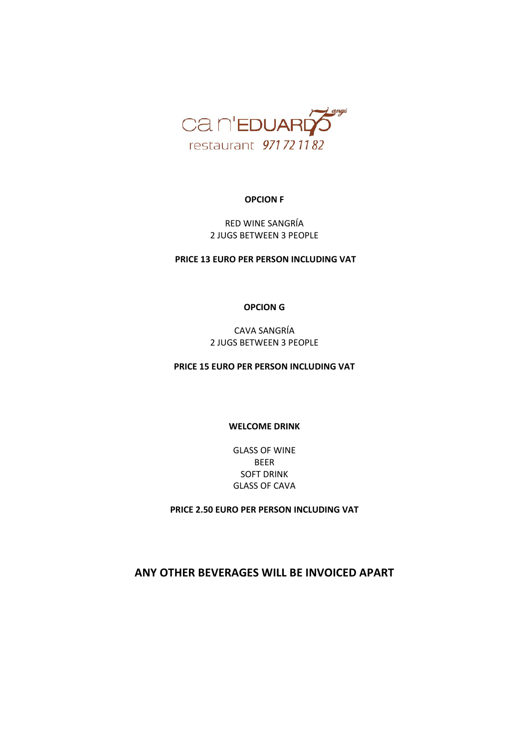

#### **OPCION F**

RED WINE SANGRÍA 2 JUGS BETWEEN 3 PEOPLE

**PRICE 13 EURO PER PERSON INCLUDING VAT**

## **OPCION G**

CAVA SANGRÍA 2 JUGS BETWEEN 3 PEOPLE

**PRICE 15 EURO PER PERSON INCLUDING VAT**

**WELCOME DRINK**

GLASS OF WINE BEER SOFT DRINK GLASS OF CAVA

**PRICE 2.50 EURO PER PERSON INCLUDING VAT**

**ANY OTHER BEVERAGES WILL BE INVOICED APART**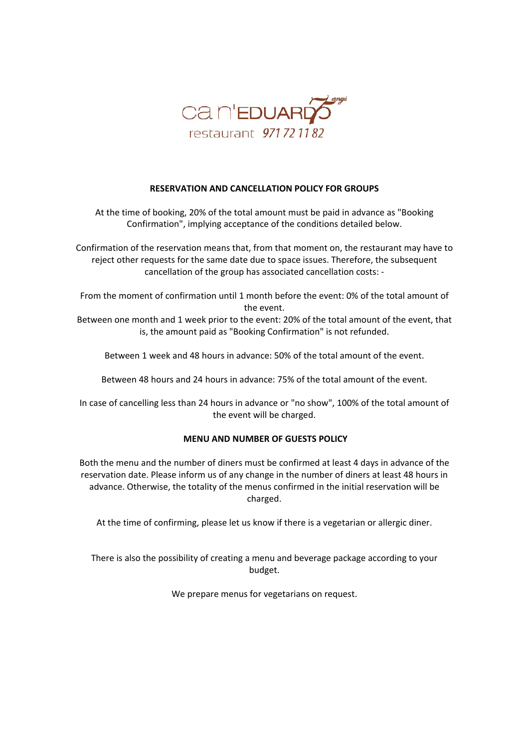

## **RESERVATION AND CANCELLATION POLICY FOR GROUPS**

At the time of booking, 20% of the total amount must be paid in advance as "Booking Confirmation", implying acceptance of the conditions detailed below.

Confirmation of the reservation means that, from that moment on, the restaurant may have to reject other requests for the same date due to space issues. Therefore, the subsequent cancellation of the group has associated cancellation costs: -

From the moment of confirmation until 1 month before the event: 0% of the total amount of the event.

Between one month and 1 week prior to the event: 20% of the total amount of the event, that is, the amount paid as "Booking Confirmation" is not refunded.

Between 1 week and 48 hours in advance: 50% of the total amount of the event.

Between 48 hours and 24 hours in advance: 75% of the total amount of the event.

In case of cancelling less than 24 hours in advance or "no show", 100% of the total amount of the event will be charged.

#### **MENU AND NUMBER OF GUESTS POLICY**

Both the menu and the number of diners must be confirmed at least 4 days in advance of the reservation date. Please inform us of any change in the number of diners at least 48 hours in advance. Otherwise, the totality of the menus confirmed in the initial reservation will be charged.

At the time of confirming, please let us know if there is a vegetarian or allergic diner.

There is also the possibility of creating a menu and beverage package according to your budget.

We prepare menus for vegetarians on request.